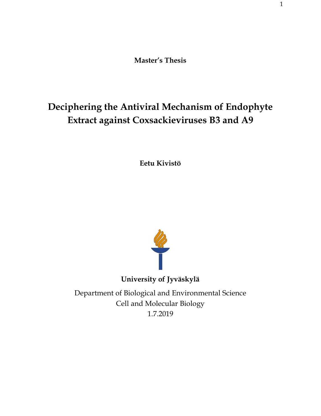**Master's Thesis**

# **Deciphering the Antiviral Mechanism of Endophyte Extract against Coxsackieviruses B3 and A9**

**Eetu Kivistö**



Department of Biological and Environmental Science Cell and Molecular Biology 1.7.2019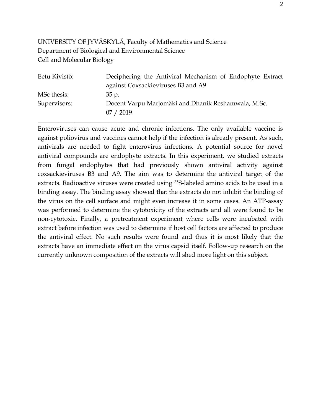# UNIVERSITY OF JYVÄSKYLÄ, Faculty of Mathematics and Science Department of Biological and Environmental Science Cell and Molecular Biology

| Eetu Kivistö: | Deciphering the Antiviral Mechanism of Endophyte Extract |
|---------------|----------------------------------------------------------|
|               | against Coxsackieviruses B3 and A9                       |
| MSc thesis:   | 35 p.                                                    |
| Supervisors:  | Docent Varpu Marjomäki and Dhanik Reshamwala, M.Sc.      |
|               | 07 / 2019                                                |

**\_\_\_\_\_\_\_\_\_\_\_\_\_\_\_\_\_\_\_\_\_\_\_\_\_\_\_\_\_\_\_\_\_\_\_\_\_\_\_\_\_\_\_\_\_\_\_\_\_\_\_\_\_\_\_\_\_\_\_\_\_\_\_\_\_\_\_\_\_\_\_\_\_\_\_\_\_\_\_\_\_\_\_\_\_\_\_\_\_\_\_\_\_**

Enteroviruses can cause acute and chronic infections. The only available vaccine is against poliovirus and vaccines cannot help if the infection is already present. As such, antivirals are needed to fight enterovirus infections. A potential source for novel antiviral compounds are endophyte extracts. In this experiment, we studied extracts from fungal endophytes that had previously shown antiviral activity against coxsackieviruses B3 and A9. The aim was to determine the antiviral target of the extracts. Radioactive viruses were created using <sup>35</sup>S-labeled amino acids to be used in a binding assay. The binding assay showed that the extracts do not inhibit the binding of the virus on the cell surface and might even increase it in some cases. An ATP-assay was performed to determine the cytotoxicity of the extracts and all were found to be non-cytotoxic. Finally, a pretreatment experiment where cells were incubated with extract before infection was used to determine if host cell factors are affected to produce the antiviral effect. No such results were found and thus it is most likely that the extracts have an immediate effect on the virus capsid itself. Follow-up research on the currently unknown composition of the extracts will shed more light on this subject.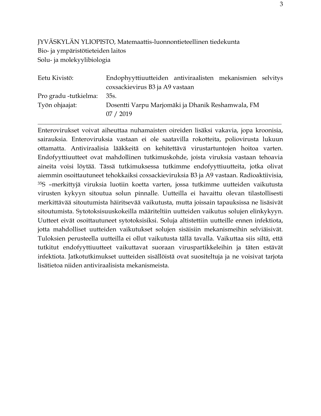# JYVÄSKYLÄN YLIOPISTO, Matemaattis-luonnontieteellinen tiedekunta Bio- ja ympäristötieteiden laitos Solu- ja molekyylibiologia

| Eetu Kivistö:         | Endophyyttiuutteiden antiviraalisten mekanismien selvitys |  |  |
|-----------------------|-----------------------------------------------------------|--|--|
|                       | coxsackievirus B3 ja A9 vastaan                           |  |  |
| Pro gradu -tutkielma: | 35s.                                                      |  |  |
| Työn ohjaajat:        | Dosentti Varpu Marjomäki ja Dhanik Reshamwala, FM         |  |  |
|                       | 07 / 2019                                                 |  |  |

**\_\_\_\_\_\_\_\_\_\_\_\_\_\_\_\_\_\_\_\_\_\_\_\_\_\_\_\_\_\_\_\_\_\_\_\_\_\_\_\_\_\_\_\_\_\_\_\_\_\_\_\_\_\_\_\_\_\_\_\_\_\_\_\_\_\_\_\_\_\_\_\_\_\_\_\_\_\_\_\_\_\_\_\_\_\_\_\_\_\_\_\_\_**

Enterovirukset voivat aiheuttaa nuhamaisten oireiden lisäksi vakavia, jopa kroonisia, sairauksia. Enteroviruksia vastaan ei ole saatavilla rokotteita, poliovirusta lukuun ottamatta. Antiviraalisia lääkkeitä on kehitettävä virustartuntojen hoitoa varten. Endofyyttiuutteet ovat mahdollinen tutkimuskohde, joista viruksia vastaan tehoavia aineita voisi löytää. Tässä tutkimuksessa tutkimme endofyyttiuutteita, jotka olivat aiemmin osoittautuneet tehokkaiksi coxsackieviruksia B3 ja A9 vastaan. Radioaktiivisia, <sup>35</sup>S –merkittyjä viruksia luotiin koetta varten, jossa tutkimme uutteiden vaikutusta virusten kykyyn sitoutua solun pinnalle. Uutteilla ei havaittu olevan tilastollisesti merkittävää sitoutumista häiritsevää vaikutusta, mutta joissain tapauksissa ne lisäsivät sitoutumista. Sytotoksisuuskokeilla määriteltiin uutteiden vaikutus solujen elinkykyyn. Uutteet eivät osoittautuneet sytotoksisiksi. Soluja altistettiin uutteille ennen infektiota, jotta mahdolliset uutteiden vaikutukset solujen sisäisiin mekanismeihin selviäisivät. Tuloksien perusteella uutteilla ei ollut vaikutusta tällä tavalla. Vaikuttaa siis siltä, että tutkitut endofyyttiuutteet vaikuttavat suoraan viruspartikkeleihin ja täten estävät infektiota. Jatkotutkimukset uutteiden sisällöistä ovat suositeltuja ja ne voisivat tarjota lisätietoa niiden antiviraalisista mekanismeista.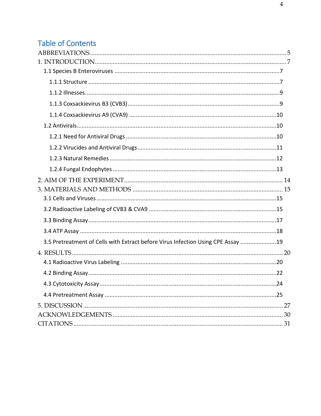# **Table of Contents**

| 3.5 Pretreatment of Cells with Extract before Virus Infection Using CPE Assay 19 |    |
|----------------------------------------------------------------------------------|----|
|                                                                                  |    |
|                                                                                  |    |
|                                                                                  |    |
| 4.3 Cytotoxicity Assay                                                           | 24 |
|                                                                                  |    |
|                                                                                  |    |
|                                                                                  |    |
|                                                                                  |    |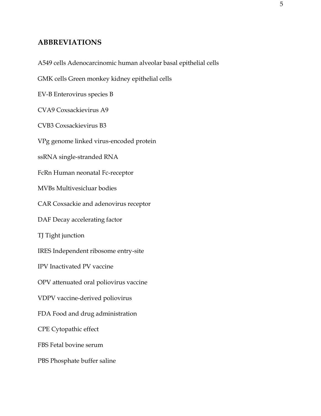## <span id="page-4-0"></span>**ABBREVIATIONS**

A549 cells Adenocarcinomic human alveolar basal epithelial cells

GMK cells Green monkey kidney epithelial cells

EV-B Enterovirus species B

CVA9 Coxsackievirus A9

CVB3 Coxsackievirus B3

VPg genome linked virus-encoded protein

ssRNA single-stranded RNA

FcRn Human neonatal Fc-receptor

MVBs Multivesicluar bodies

CAR Coxsackie and adenovirus receptor

DAF Decay accelerating factor

TJ Tight junction

IRES Independent ribosome entry-site

IPV Inactivated PV vaccine

OPV attenuated oral poliovirus vaccine

VDPV vaccine-derived poliovirus

FDA Food and drug administration

CPE Cytopathic effect

FBS Fetal bovine serum

PBS Phosphate buffer saline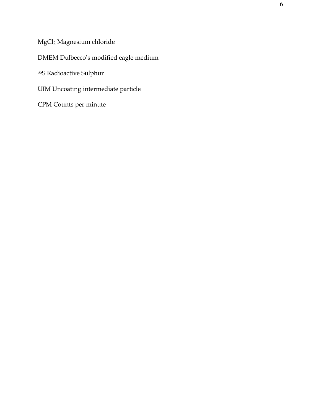MgCl<sup>2</sup> Magnesium chloride

DMEM Dulbecco's modified eagle medium

<sup>35</sup>S Radioactive Sulphur

UIM Uncoating intermediate particle

CPM Counts per minute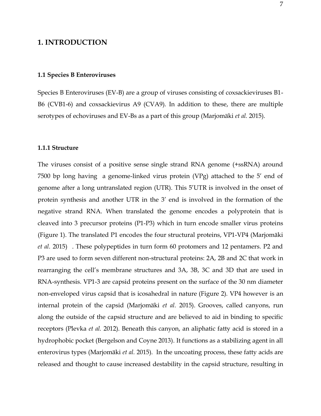## <span id="page-6-0"></span>**1. INTRODUCTION**

## <span id="page-6-1"></span>**1.1 Species B Enteroviruses**

Species B Enteroviruses (EV-B) are a group of viruses consisting of coxsackieviruses B1- B6 (CVB1-6) and coxsackievirus A9 (CVA9). In addition to these, there are multiple serotypes of echoviruses and EV-Bs as a part of this group (Marjomäki *et al.* 2015).

#### <span id="page-6-2"></span>**1.1.1 Structure**

The viruses consist of a positive sense single strand RNA genome (+ssRNA) around 7500 bp long having a genome-linked virus protein (VPg) attached to the 5' end of genome after a long untranslated region (UTR). This 5'UTR is involved in the onset of protein synthesis and another UTR in the 3' end is involved in the formation of the negative strand RNA. When translated the genome encodes a polyprotein that is cleaved into 3 precursor proteins (P1-P3) which in turn encode smaller virus proteins (Figure 1). The translated P1 encodes the four structural proteins, VP1-VP4 (Marjomäki *et al.* 2015) . These polypeptides in turn form 60 protomers and 12 pentamers. P2 and P3 are used to form seven different non-structural proteins: 2A, 2B and 2C that work in rearranging the cell's membrane structures and 3A, 3B, 3C and 3D that are used in RNA-synthesis. VP1-3 are capsid proteins present on the surface of the 30 nm diameter non-enveloped virus capsid that is icosahedral in nature (Figure 2). VP4 however is an internal protein of the capsid (Marjomäki *et al.* 2015). Grooves, called canyons, run along the outside of the capsid structure and are believed to aid in binding to specific receptors (Plevka *et al.* 2012). Beneath this canyon, an aliphatic fatty acid is stored in a hydrophobic pocket (Bergelson and Coyne 2013). It functions as a stabilizing agent in all enterovirus types (Marjomäki *et al.* 2015). In the uncoating process, these fatty acids are released and thought to cause increased destability in the capsid structure, resulting in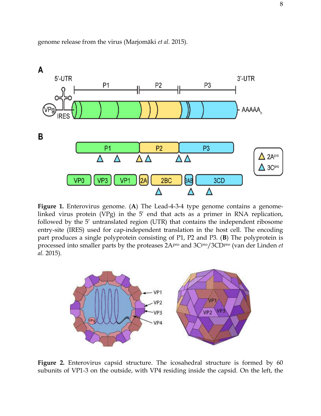

genome release from the virus (Marjomäki *et al.* 2015).

**Figure 1.** Enterovirus genome. (**A**) The Lead-4-3-4 type genome contains a genomelinked virus protein (VPg) in the 5' end that acts as a primer in RNA replication, followed by the 5' untranslated region (UTR) that contains the independent ribosome entry-site (IRES) used for cap-independent translation in the host cell. The encoding part produces a single polyprotein consisting of P1, P2 and P3. (**B**) The polyprotein is processed into smaller parts by the proteases 2Apro and 3Cpro/3CDpro (van der Linden *et al.* 2015).



**Figure 2.** Enterovirus capsid structure. The icosahedral structure is formed by 60 subunits of VP1-3 on the outside, with VP4 residing inside the capsid. On the left, the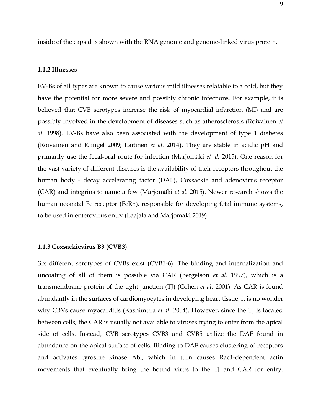inside of the capsid is shown with the RNA genome and genome-linked virus protein.

## <span id="page-8-0"></span>**1.1.2 Illnesses**

EV-Bs of all types are known to cause various mild illnesses relatable to a cold, but they have the potential for more severe and possibly chronic infections. For example, it is believed that CVB serotypes increase the risk of myocardial infarction (MI) and are possibly involved in the development of diseases such as atherosclerosis (Roivainen *et al.* 1998). EV-Bs have also been associated with the development of type 1 diabetes (Roivainen and Klingel 2009; Laitinen *et al.* 2014). They are stable in acidic pH and primarily use the fecal-oral route for infection (Marjomäki *et al.* 2015). One reason for the vast variety of different diseases is the availability of their receptors throughout the human body - decay accelerating factor (DAF), Coxsackie and adenovirus receptor (CAR) and integrins to name a few (Marjomäki *et al.* 2015). Newer research shows the human neonatal Fc receptor (FcRn), responsible for developing fetal immune systems, to be used in enterovirus entry (Laajala and Marjomäki 2019).

#### <span id="page-8-1"></span>**1.1.3 Coxsackievirus B3 (CVB3)**

Six different serotypes of CVBs exist (CVB1-6). The binding and internalization and uncoating of all of them is possible via CAR (Bergelson *et al.* 1997), which is a transmembrane protein of the tight junction (TJ) (Cohen *et al.* 2001). As CAR is found abundantly in the surfaces of cardiomyocytes in developing heart tissue, it is no wonder why CBVs cause myocarditis (Kashimura *et al.* 2004). However, since the TJ is located between cells, the CAR is usually not available to viruses trying to enter from the apical side of cells. Instead, CVB serotypes CVB3 and CVB5 utilize the DAF found in abundance on the apical surface of cells. Binding to DAF causes clustering of receptors and activates tyrosine kinase Abl, which in turn causes Rac1-dependent actin movements that eventually bring the bound virus to the TJ and CAR for entry.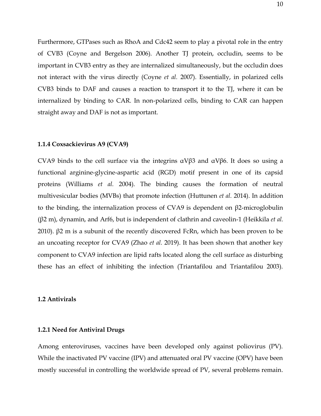Furthermore, GTPases such as RhoA and Cdc42 seem to play a pivotal role in the entry of CVB3 (Coyne and Bergelson 2006). Another TJ protein, occludin, seems to be important in CVB3 entry as they are internalized simultaneously, but the occludin does not interact with the virus directly (Coyne *et al.* 2007). Essentially, in polarized cells CVB3 binds to DAF and causes a reaction to transport it to the TJ, where it can be internalized by binding to CAR. In non-polarized cells, binding to CAR can happen straight away and DAF is not as important.

## <span id="page-9-0"></span>**1.1.4 Coxsackievirus A9 (CVA9)**

CVA9 binds to the cell surface via the integrins  $\alpha$ Vβ3 and  $\alpha$ Vβ6. It does so using a functional arginine-glycine-aspartic acid (RGD) motif present in one of its capsid proteins (Williams *et al.* 2004). The binding causes the formation of neutral multivesicular bodies (MVBs) that promote infection (Huttunen *et al.* 2014). In addition to the binding, the internalization process of CVA9 is dependent on β2-microglobulin (β2 m), dynamin, and Arf6, but is independent of clathrin and caveolin-1 (Heikkila *et al.* 2010).  $β2$  m is a subunit of the recently discovered FcRn, which has been proven to be an uncoating receptor for CVA9 (Zhao *et al.* 2019). It has been shown that another key component to CVA9 infection are lipid rafts located along the cell surface as disturbing these has an effect of inhibiting the infection (Triantafilou and Triantafilou 2003).

## <span id="page-9-1"></span>**1.2 Antivirals**

## <span id="page-9-2"></span>**1.2.1 Need for Antiviral Drugs**

Among enteroviruses, vaccines have been developed only against poliovirus (PV). While the inactivated PV vaccine (IPV) and attenuated oral PV vaccine (OPV) have been mostly successful in controlling the worldwide spread of PV, several problems remain.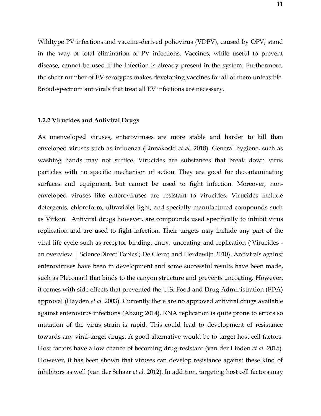Wildtype PV infections and vaccine-derived poliovirus (VDPV), caused by OPV, stand in the way of total elimination of PV infections. Vaccines, while useful to prevent disease, cannot be used if the infection is already present in the system. Furthermore, the sheer number of EV serotypes makes developing vaccines for all of them unfeasible. Broad-spectrum antivirals that treat all EV infections are necessary.

## <span id="page-10-0"></span>**1.2.2 Virucides and Antiviral Drugs**

As unenveloped viruses, enteroviruses are more stable and harder to kill than enveloped viruses such as influenza (Linnakoski *et al.* 2018). General hygiene, such as washing hands may not suffice. Virucides are substances that break down virus particles with no specific mechanism of action. They are good for decontaminating surfaces and equipment, but cannot be used to fight infection. Moreover, nonenveloped viruses like enteroviruses are resistant to virucides. Virucides include detergents, chloroform, ultraviolet light, and specially manufactured compounds such as Virkon. Antiviral drugs however, are compounds used specifically to inhibit virus replication and are used to fight infection. Their targets may include any part of the viral life cycle such as receptor binding, entry, uncoating and replication ('Virucides an overview | ScienceDirect Topics'; De Clercq and Herdewijn 2010). Antivirals against enteroviruses have been in development and some successful results have been made, such as Pleconaril that binds to the canyon structure and prevents uncoating. However, it comes with side effects that prevented the U.S. Food and Drug Administration (FDA) approval (Hayden *et al.* 2003). Currently there are no approved antiviral drugs available against enterovirus infections (Abzug 2014). RNA replication is quite prone to errors so mutation of the virus strain is rapid. This could lead to development of resistance towards any viral-target drugs. A good alternative would be to target host cell factors. Host factors have a low chance of becoming drug-resistant (van der Linden *et al.* 2015). However, it has been shown that viruses can develop resistance against these kind of inhibitors as well (van der Schaar *et al.* 2012). In addition, targeting host cell factors may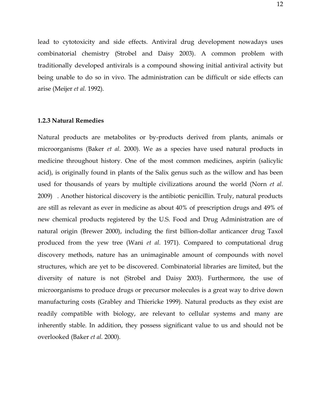lead to cytotoxicity and side effects. Antiviral drug development nowadays uses combinatorial chemistry (Strobel and Daisy 2003). A common problem with traditionally developed antivirals is a compound showing initial antiviral activity but being unable to do so in vivo. The administration can be difficult or side effects can arise (Meijer *et al.* 1992).

#### <span id="page-11-0"></span>**1.2.3 Natural Remedies**

Natural products are metabolites or by-products derived from plants, animals or microorganisms (Baker *et al.* 2000). We as a species have used natural products in medicine throughout history. One of the most common medicines, aspirin (salicylic acid), is originally found in plants of the Salix genus such as the willow and has been used for thousands of years by multiple civilizations around the world (Norn *et al.* 2009) . Another historical discovery is the antibiotic penicillin. Truly, natural products are still as relevant as ever in medicine as about 40% of prescription drugs and 49% of new chemical products registered by the U.S. Food and Drug Administration are of natural origin (Brewer 2000), including the first billion-dollar anticancer drug Taxol produced from the yew tree (Wani *et al.* 1971). Compared to computational drug discovery methods, nature has an unimaginable amount of compounds with novel structures, which are yet to be discovered. Combinatorial libraries are limited, but the diversity of nature is not (Strobel and Daisy 2003). Furthermore, the use of microorganisms to produce drugs or precursor molecules is a great way to drive down manufacturing costs (Grabley and Thiericke 1999). Natural products as they exist are readily compatible with biology, are relevant to cellular systems and many are inherently stable. In addition, they possess significant value to us and should not be overlooked (Baker *et al.* 2000).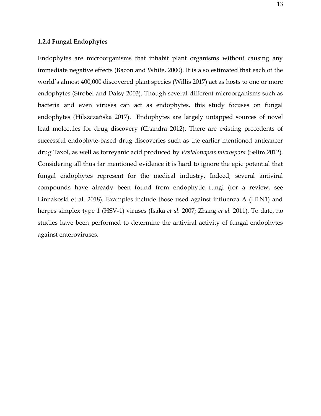## <span id="page-12-0"></span>**1.2.4 Fungal Endophytes**

Endophytes are microorganisms that inhabit plant organisms without causing any immediate negative effects (Bacon and White, 2000). It is also estimated that each of the world's almost 400,000 discovered plant species (Willis 2017) act as hosts to one or more endophytes (Strobel and Daisy 2003). Though several different microorganisms such as bacteria and even viruses can act as endophytes, this study focuses on fungal endophytes (Hilszczańska 2017). Endophytes are largely untapped sources of novel lead molecules for drug discovery (Chandra 2012). There are existing precedents of successful endophyte-based drug discoveries such as the earlier mentioned anticancer drug Taxol, as well as torreyanic acid produced by *Pestalotiopsis microspora* (Selim 2012). Considering all thus far mentioned evidence it is hard to ignore the epic potential that fungal endophytes represent for the medical industry. Indeed, several antiviral compounds have already been found from endophytic fungi (for a review, see Linnakoski et al. 2018). Examples include those used against influenza A (H1N1) and herpes simplex type 1 (HSV-1) viruses (Isaka *et al.* 2007; Zhang *et al.* 2011). To date, no studies have been performed to determine the antiviral activity of fungal endophytes against enteroviruses.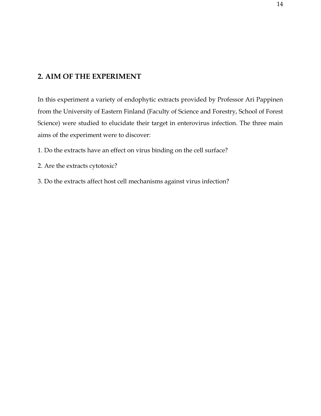# <span id="page-13-0"></span>**2. AIM OF THE EXPERIMENT**

In this experiment a variety of endophytic extracts provided by Professor Ari Pappinen from the University of Eastern Finland (Faculty of Science and Forestry, School of Forest Science) were studied to elucidate their target in enterovirus infection. The three main aims of the experiment were to discover:

- 1. Do the extracts have an effect on virus binding on the cell surface?
- 2. Are the extracts cytotoxic?
- 3. Do the extracts affect host cell mechanisms against virus infection?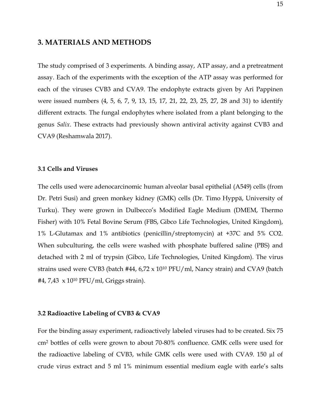## <span id="page-14-0"></span>**3. MATERIALS AND METHODS**

The study comprised of 3 experiments. A binding assay, ATP assay, and a pretreatment assay. Each of the experiments with the exception of the ATP assay was performed for each of the viruses CVB3 and CVA9. The endophyte extracts given by Ari Pappinen were issued numbers (4, 5, 6, 7, 9, 13, 15, 17, 21, 22, 23, 25, 27, 28 and 31) to identify different extracts. The fungal endophytes where isolated from a plant belonging to the genus *Salix*. These extracts had previously shown antiviral activity against CVB3 and CVA9 (Reshamwala 2017).

## <span id="page-14-1"></span>**3.1 Cells and Viruses**

The cells used were adenocarcinomic human alveolar basal epithelial (A549) cells (from Dr. Petri Susi) and green monkey kidney (GMK) cells (Dr. Timo Hyppä, University of Turku). They were grown in Dulbecco's Modified Eagle Medium (DMEM, Thermo Fisher) with 10% Fetal Bovine Serum (FBS, Gibco Life Technologies, United Kingdom), 1% L-Glutamax and 1% antibiotics (penicillin/streptomycin) at +37C and 5% CO2. When subculturing, the cells were washed with phosphate buffered saline (PBS) and detached with 2 ml of trypsin (Gibco, Life Technologies, United Kingdom). The virus strains used were CVB3 (batch #44, 6,72 x 10<sup>10</sup> PFU/ml, Nancy strain) and CVA9 (batch #4, 7,43 x 10 <sup>10</sup> PFU/ml, Griggs strain).

## <span id="page-14-2"></span>**3.2 Radioactive Labeling of CVB3 & CVA9**

For the binding assay experiment, radioactively labeled viruses had to be created. Six 75 cm<sup>2</sup> bottles of cells were grown to about 70-80% confluence. GMK cells were used for the radioactive labeling of CVB3, while GMK cells were used with CVA9. 150 µl of crude virus extract and 5 ml 1% minimum essential medium eagle with earle's salts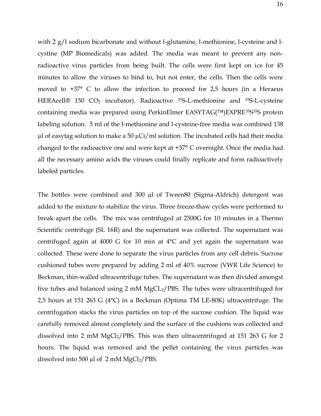with 2 g/l sodium bicarbonate and without l-glutamine, l-methionine, l-cysteine and lcystine (MP Biomedicals) was added. The media was meant to prevent any nonradioactive virus particles from being built. The cells were first kept on ice for 45 minutes to allow the viruses to bind to, but not enter, the cells. Then the cells were moved to +37° C to allow the infection to proceed for 2,5 hours (in a Heraeus HERAcell<sup>®</sup> 150 CO<sub>2</sub> incubator). Radioactive <sup>35</sup>S-L-methionine and <sup>35</sup>S-L-cysteine containing media was prepared using PerkinElmer EASYTAG(™)EXPRE<sup>35</sup>S<sup>35</sup>S protein labeling solution. 5 ml of the l-methionine and l-cysteine-free media was combined 138  $\mu$ l of easytag solution to make a 50  $\mu$ Ci/ml solution. The incubated cells had their media changed to the radioactive one and were kept at +37° C overnight. Once the media had all the necessary amino acids the viruses could finally replicate and form radioactively labeled particles.

The bottles were combined and 300 µl of Tween80 (Sigma-Aldrich) detergent was added to the mixture to stabilize the virus. Three freeze-thaw cycles were performed to break apart the cells. The mix was centrifuged at 2500G for 10 minutes in a Thermo Scientific centrifuge (SL 16R) and the supernatant was collected. The supernatant was centrifuged again at 4000 G for 10 min at 4°C and yet again the supernatant was collected. These were done to separate the virus particles from any cell debris. Sucrose cushioned tubes were prepared by adding 2 ml of 40% sucrose (VWR Life Science) to Beckman, thin-walled ultracentrifuge tubes. The supernatant was then divided amongst five tubes and balanced using 2 mM  $MgCL<sub>2</sub>/PBS$ . The tubes were ultracentrifuged for 2,5 hours at 151 263 G (4°C) in a Beckman (Optima TM LE-80K) ultracentrifuge. The centrifugation stacks the virus particles on top of the sucrose cushion. The liquid was carefully removed almost completely and the surface of the cushions was collected and dissolved into 2 mM  $MgCl<sub>2</sub>/PBS$ . This was then ultracentrifuged at 151 263 G for 2 hours. The liquid was removed and the pellet containing the virus particles was dissolved into 500  $\mu$ l of 2 mM MgCl<sub>2</sub>/PBS.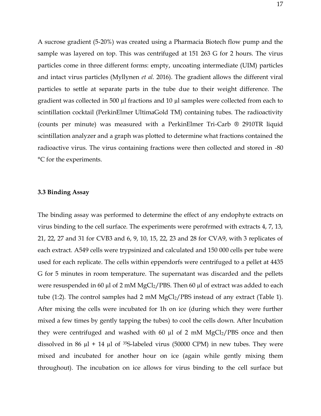A sucrose gradient (5-20%) was created using a Pharmacia Biotech flow pump and the sample was layered on top. This was centrifuged at 151 263 G for 2 hours. The virus particles come in three different forms: empty, uncoating intermediate (UIM) particles and intact virus particles (Myllynen *et al.* 2016). The gradient allows the different viral particles to settle at separate parts in the tube due to their weight difference. The gradient was collected in 500 µl fractions and 10 µl samples were collected from each to scintillation cocktail (PerkinElmer UltimaGold TM) containing tubes. The radioactivity (counts per minute) was measured with a PerkinElmer Tri-Carb ® 2910TR liquid scintillation analyzer and a graph was plotted to determine what fractions contained the radioactive virus. The virus containing fractions were then collected and stored in -80 °C for the experiments.

## <span id="page-16-0"></span>**3.3 Binding Assay**

The binding assay was performed to determine the effect of any endophyte extracts on virus binding to the cell surface. The experiments were perofrmed with extracts 4, 7, 13, 21, 22, 27 and 31 for CVB3 and 6, 9, 10, 15, 22, 23 and 28 for CVA9, with 3 replicates of each extract. A549 cells were trypsinized and calculated and 150 000 cells per tube were used for each replicate. The cells within eppendorfs were centrifuged to a pellet at 4435 G for 5 minutes in room temperature. The supernatant was discarded and the pellets were resuspended in 60  $\mu$ l of 2 mM MgCl<sub>2</sub>/PBS. Then 60  $\mu$ l of extract was added to each tube (1:2). The control samples had 2 mM  $MgCl<sub>2</sub>/PBS$  instead of any extract (Table 1). After mixing the cells were incubated for 1h on ice (during which they were further mixed a few times by gently tapping the tubes) to cool the cells down. After Incubation they were centrifuged and washed with 60  $\mu$ l of 2 mM MgCl<sub>2</sub>/PBS once and then dissolved in 86  $\mu$ l + 14  $\mu$ l of <sup>35</sup>S-labeled virus (50000 CPM) in new tubes. They were mixed and incubated for another hour on ice (again while gently mixing them throughout). The incubation on ice allows for virus binding to the cell surface but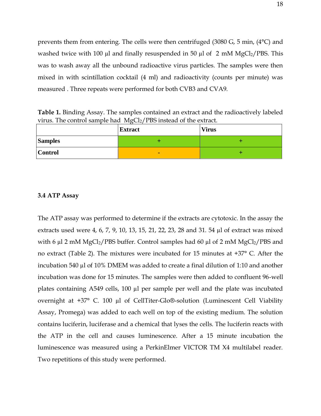prevents them from entering. The cells were then centrifuged (3080 G, 5 min, (4°C) and washed twice with 100  $\mu$ l and finally resuspended in 50  $\mu$ l of 2 mM MgCl<sub>2</sub>/PBS. This was to wash away all the unbound radioactive virus particles. The samples were then mixed in with scintillation cocktail (4 ml) and radioactivity (counts per minute) was measured . Three repeats were performed for both CVB3 and CVA9.

**Table 1.** Binding Assay. The samples contained an extract and the radioactively labeled virus. The control sample had MgCl<sub>2</sub>/PBS instead of the extract.

|                | <b>Extract</b> | <b>Virus</b> |
|----------------|----------------|--------------|
| <b>Samples</b> |                |              |
| <b>Control</b> | -              |              |

#### <span id="page-17-0"></span>**3.4 ATP Assay**

The ATP assay was performed to determine if the extracts are cytotoxic. In the assay the extracts used were 4, 6, 7, 9, 10, 13, 15, 21, 22, 23, 28 and 31. 54 µl of extract was mixed with 6  $\mu$ l 2 mM MgCl<sub>2</sub>/PBS buffer. Control samples had 60  $\mu$ l of 2 mM MgCl<sub>2</sub>/PBS and no extract (Table 2). The mixtures were incubated for 15 minutes at +37° C. After the incubation 540 µl of 10% DMEM was added to create a final dilution of 1:10 and another incubation was done for 15 minutes. The samples were then added to confluent 96-well plates containing A549 cells, 100 µl per sample per well and the plate was incubated overnight at +37° C. 100 µl of CellTiter-Glo®-solution (Luminescent Cell Viability Assay, Promega) was added to each well on top of the existing medium. The solution contains luciferin, luciferase and a chemical that lyses the cells. The luciferin reacts with the ATP in the cell and causes luminescence. After a 15 minute incubation the luminescence was measured using a PerkinElmer VICTOR TM X4 multilabel reader. Two repetitions of this study were performed.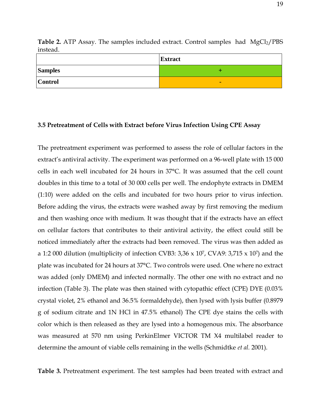|                | <b>Extract</b> |
|----------------|----------------|
| <b>Samples</b> |                |
| <b>Control</b> | -              |

**Table 2.** ATP Assay. The samples included extract. Control samples had MgCl<sub>2</sub>/PBS instead.

#### <span id="page-18-0"></span>**3.5 Pretreatment of Cells with Extract before Virus Infection Using CPE Assay**

The pretreatment experiment was performed to assess the role of cellular factors in the extract's antiviral activity. The experiment was performed on a 96-well plate with 15 000 cells in each well incubated for 24 hours in 37°C. It was assumed that the cell count doubles in this time to a total of 30 000 cells per well. The endophyte extracts in DMEM (1:10) were added on the cells and incubated for two hours prior to virus infection. Before adding the virus, the extracts were washed away by first removing the medium and then washing once with medium. It was thought that if the extracts have an effect on cellular factors that contributes to their antiviral activity, the effect could still be noticed immediately after the extracts had been removed. The virus was then added as a 1:2 000 dilution (multiplicity of infection CVB3:  $3,36 \times 10^7$ , CVA9:  $3,715 \times 10^7$ ) and the plate was incubated for 24 hours at 37°C. Two controls were used. One where no extract was added (only DMEM) and infected normally. The other one with no extract and no infection (Table 3). The plate was then stained with cytopathic effect (CPE) DYE (0.03% crystal violet, 2% ethanol and 36.5% formaldehyde), then lysed with lysis buffer (0.8979 g of sodium citrate and 1N HCl in 47.5% ethanol) The CPE dye stains the cells with color which is then released as they are lysed into a homogenous mix. The absorbance was measured at 570 nm using PerkinElmer VICTOR TM X4 multilabel reader to determine the amount of viable cells remaining in the wells (Schmidtke *et al.* 2001).

**Table 3.** Pretreatment experiment. The test samples had been treated with extract and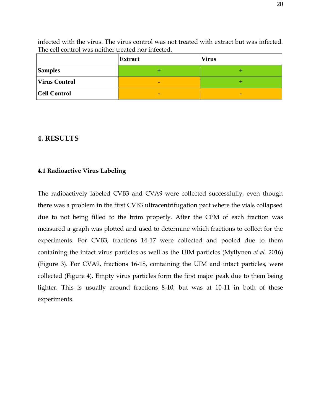|                      | Extract | <b>Virus</b> |
|----------------------|---------|--------------|
| <b>Samples</b>       |         |              |
| <b>Virus Control</b> | $\sim$  |              |
| <b>Cell Control</b>  | -       | $\sim$       |

infected with the virus. The virus control was not treated with extract but was infected. The cell control was neither treated nor infected.

## <span id="page-19-0"></span>**4. RESULTS**

## <span id="page-19-1"></span>**4.1 Radioactive Virus Labeling**

The radioactively labeled CVB3 and CVA9 were collected successfully, even though there was a problem in the first CVB3 ultracentrifugation part where the vials collapsed due to not being filled to the brim properly. After the CPM of each fraction was measured a graph was plotted and used to determine which fractions to collect for the experiments. For CVB3, fractions 14-17 were collected and pooled due to them containing the intact virus particles as well as the UIM particles (Myllynen *et al.* 2016) (Figure 3). For CVA9, fractions 16-18, containing the UIM and intact particles, were collected (Figure 4). Empty virus particles form the first major peak due to them being lighter. This is usually around fractions 8-10, but was at 10-11 in both of these experiments.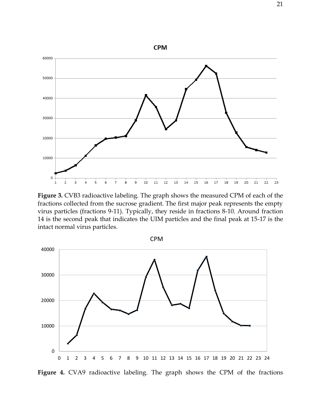

**Figure 3.** CVB3 radioactive labeling. The graph shows the measured CPM of each of the fractions collected from the sucrose gradient. The first major peak represents the empty virus particles (fractions 9-11). Typically, they reside in fractions 8-10. Around fraction 14 is the second peak that indicates the UIM particles and the final peak at 15-17 is the intact normal virus particles.



Figure 4. CVA9 radioactive labeling. The graph shows the CPM of the fractions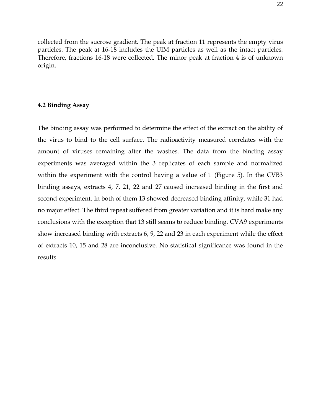collected from the sucrose gradient. The peak at fraction 11 represents the empty virus particles. The peak at 16-18 includes the UIM particles as well as the intact particles. Therefore, fractions 16-18 were collected. The minor peak at fraction 4 is of unknown origin.

## <span id="page-21-0"></span>**4.2 Binding Assay**

The binding assay was performed to determine the effect of the extract on the ability of the virus to bind to the cell surface. The radioactivity measured correlates with the amount of viruses remaining after the washes. The data from the binding assay experiments was averaged within the 3 replicates of each sample and normalized within the experiment with the control having a value of 1 (Figure 5). In the CVB3 binding assays, extracts 4, 7, 21, 22 and 27 caused increased binding in the first and second experiment. In both of them 13 showed decreased binding affinity, while 31 had no major effect. The third repeat suffered from greater variation and it is hard make any conclusions with the exception that 13 still seems to reduce binding. CVA9 experiments show increased binding with extracts 6, 9, 22 and 23 in each experiment while the effect of extracts 10, 15 and 28 are inconclusive. No statistical significance was found in the results.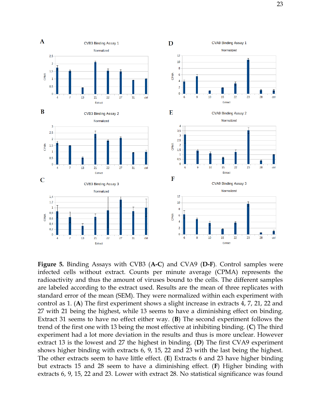

**Figure 5.** Binding Assays with CVB3 (**A-C**) and CVA9 (**D-F**). Control samples were infected cells without extract. Counts per minute average (CPMA) represents the radioactivity and thus the amount of viruses bound to the cells. The different samples are labeled according to the extract used. Results are the mean of three replicates with standard error of the mean (SEM). They were normalized within each experiment with control as 1. (**A**) The first experiment shows a slight increase in extracts 4, 7, 21, 22 and 27 with 21 being the highest, while 13 seems to have a diminishing effect on binding. Extract 31 seems to have no effect either way. (**B**) The second experiment follows the trend of the first one with 13 being the most effective at inhibiting binding. (**C**) The third experiment had a lot more deviation in the results and thus is more unclear. However extract 13 is the lowest and 27 the highest in binding. (**D**) The first CVA9 experiment shows higher binding with extracts 6, 9, 15, 22 and 23 with the last being the highest. The other extracts seem to have little effect. (**E**) Extracts 6 and 23 have higher binding but extracts 15 and 28 seem to have a diminishing effect. (**F**) Higher binding with extracts 6, 9, 15, 22 and 23. Lower with extract 28. No statistical significance was found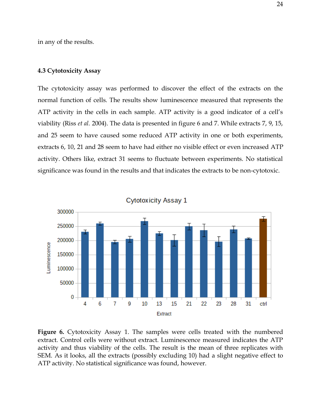in any of the results.

## <span id="page-23-0"></span>**4.3 Cytotoxicity Assay**

The cytotoxicity assay was performed to discover the effect of the extracts on the normal function of cells. The results show luminescence measured that represents the ATP activity in the cells in each sample. ATP activity is a good indicator of a cell's viability (Riss *et al.* 2004). The data is presented in figure 6 and 7. While extracts 7, 9, 15, and 25 seem to have caused some reduced ATP activity in one or both experiments, extracts 6, 10, 21 and 28 seem to have had either no visible effect or even increased ATP activity. Others like, extract 31 seems to fluctuate between experiments. No statistical significance was found in the results and that indicates the extracts to be non-cytotoxic.



**Cytotoxicity Assay 1** 

**Figure 6.** Cytotoxicity Assay 1. The samples were cells treated with the numbered extract. Control cells were without extract. Luminescence measured indicates the ATP activity and thus viability of the cells. The result is the mean of three replicates with SEM. As it looks, all the extracts (possibly excluding 10) had a slight negative effect to ATP activity. No statistical significance was found, however.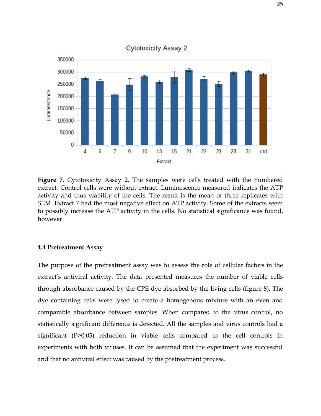

**Figure 7.** Cytotoxicity Assay 2. The samples were cells treated with the numbered extract. Control cells were without extract. Luminescence measured indicates the ATP activity and thus viability of the cells. The result is the mean of three replicates with SEM. Extract 7 had the most negative effect on ATP activity. Some of the extracts seem to possibly increase the ATP activity in the cells. No statistical significance was found, however.

#### <span id="page-24-0"></span>**4.4 Pretreatment Assay**

The purpose of the pretreatment assay was to assess the role of cellular factors in the extract's antiviral activity. The data presented measures the number of viable cells through absorbance caused by the CPE dye absorbed by the living cells (figure 8). The dye containing cells were lysed to create a homogenous mixture with an even and comparable absorbance between samples. When compared to the virus control, no statistically significant difference is detected. All the samples and virus controls had a significant (P>0,05) reduction in viable cells compared to the cell controls in experiments with both viruses. It can be assumed that the experiment was successful and that no antiviral effect was caused by the pretreatment process.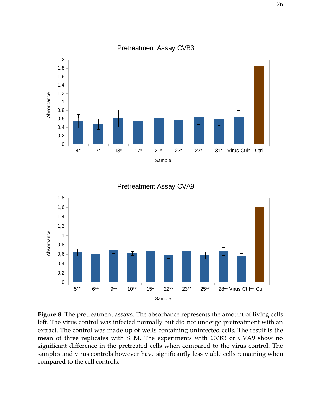

## Pretreatment Assay CVB3

Pretreatment Assay CVA9



**Figure 8.** The pretreatment assays. The absorbance represents the amount of living cells left. The virus control was infected normally but did not undergo pretreatment with an extract. The control was made up of wells containing uninfected cells. The result is the mean of three replicates with SEM. The experiments with CVB3 or CVA9 show no significant difference in the pretreated cells when compared to the virus control. The samples and virus controls however have significantly less viable cells remaining when compared to the cell controls.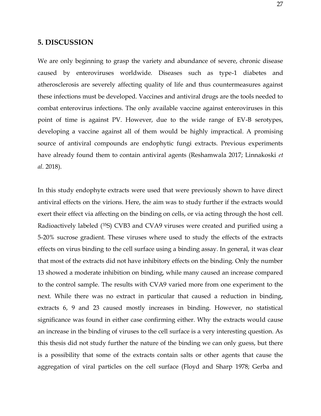## <span id="page-26-0"></span>**5. DISCUSSION**

We are only beginning to grasp the variety and abundance of severe, chronic disease caused by enteroviruses worldwide. Diseases such as type-1 diabetes and atherosclerosis are severely affecting quality of life and thus countermeasures against these infections must be developed. Vaccines and antiviral drugs are the tools needed to combat enterovirus infections. The only available vaccine against enteroviruses in this point of time is against PV. However, due to the wide range of EV-B serotypes, developing a vaccine against all of them would be highly impractical. A promising source of antiviral compounds are endophytic fungi extracts. Previous experiments have already found them to contain antiviral agents (Reshamwala 2017; Linnakoski *et al.* 2018).

In this study endophyte extracts were used that were previously shown to have direct antiviral effects on the virions. Here, the aim was to study further if the extracts would exert their effect via affecting on the binding on cells, or via acting through the host cell. Radioactively labeled (<sup>35</sup>S) CVB3 and CVA9 viruses were created and purified using a 5-20% sucrose gradient. These viruses where used to study the effects of the extracts effects on virus binding to the cell surface using a binding assay. In general, it was clear that most of the extracts did not have inhibitory effects on the binding. Only the number 13 showed a moderate inhibition on binding, while many caused an increase compared to the control sample. The results with CVA9 varied more from one experiment to the next. While there was no extract in particular that caused a reduction in binding, extracts 6, 9 and 23 caused mostly increases in binding. However, no statistical significance was found in either case confirming either. Why the extracts would cause an increase in the binding of viruses to the cell surface is a very interesting question. As this thesis did not study further the nature of the binding we can only guess, but there is a possibility that some of the extracts contain salts or other agents that cause the aggregation of viral particles on the cell surface (Floyd and Sharp 1978; Gerba and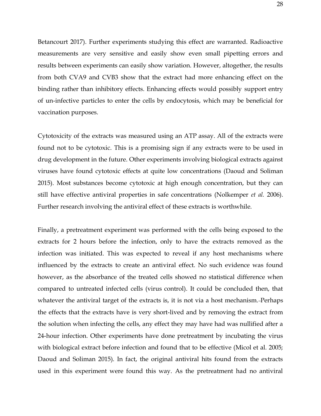Betancourt 2017). Further experiments studying this effect are warranted. Radioactive measurements are very sensitive and easily show even small pipetting errors and results between experiments can easily show variation. However, altogether, the results from both CVA9 and CVB3 show that the extract had more enhancing effect on the binding rather than inhibitory effects. Enhancing effects would possibly support entry of un-infective particles to enter the cells by endocytosis, which may be beneficial for vaccination purposes.

Cytotoxicity of the extracts was measured using an ATP assay. All of the extracts were found not to be cytotoxic. This is a promising sign if any extracts were to be used in drug development in the future. Other experiments involving biological extracts against viruses have found cytotoxic effects at quite low concentrations (Daoud and Soliman 2015). Most substances become cytotoxic at high enough concentration, but they can still have effective antiviral properties in safe concentrations (Nolkemper *et al.* 2006). Further research involving the antiviral effect of these extracts is worthwhile.

Finally, a pretreatment experiment was performed with the cells being exposed to the extracts for 2 hours before the infection, only to have the extracts removed as the infection was initiated. This was expected to reveal if any host mechanisms where influenced by the extracts to create an antiviral effect. No such evidence was found however, as the absorbance of the treated cells showed no statistical difference when compared to untreated infected cells (virus control). It could be concluded then, that whatever the antiviral target of the extracts is, it is not via a host mechanism. Perhaps the effects that the extracts have is very short-lived and by removing the extract from the solution when infecting the cells, any effect they may have had was nullified after a 24-hour infection. Other experiments have done pretreatment by incubating the virus with biological extract before infection and found that to be effective (Micol et al. 2005; Daoud and Soliman 2015). In fact, the original antiviral hits found from the extracts used in this experiment were found this way. As the pretreatment had no antiviral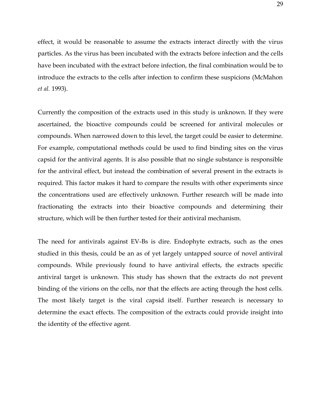effect, it would be reasonable to assume the extracts interact directly with the virus particles. As the virus has been incubated with the extracts before infection and the cells have been incubated with the extract before infection, the final combination would be to introduce the extracts to the cells after infection to confirm these suspicions (McMahon *et al.* 1993).

Currently the composition of the extracts used in this study is unknown. If they were ascertained, the bioactive compounds could be screened for antiviral molecules or compounds. When narrowed down to this level, the target could be easier to determine. For example, computational methods could be used to find binding sites on the virus capsid for the antiviral agents. It is also possible that no single substance is responsible for the antiviral effect, but instead the combination of several present in the extracts is required. This factor makes it hard to compare the results with other experiments since the concentrations used are effectively unknown. Further research will be made into fractionating the extracts into their bioactive compounds and determining their structure, which will be then further tested for their antiviral mechanism.

The need for antivirals against EV-Bs is dire. Endophyte extracts, such as the ones studied in this thesis, could be an as of yet largely untapped source of novel antiviral compounds. While previously found to have antiviral effects, the extracts specific antiviral target is unknown. This study has shown that the extracts do not prevent binding of the virions on the cells, nor that the effects are acting through the host cells. The most likely target is the viral capsid itself. Further research is necessary to determine the exact effects. The composition of the extracts could provide insight into the identity of the effective agent.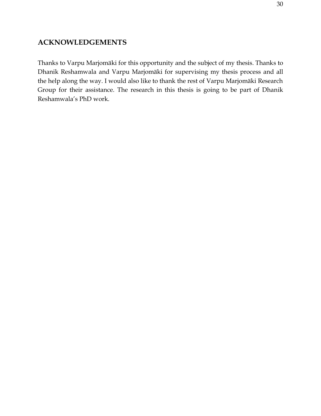## <span id="page-29-0"></span>**ACKNOWLEDGEMENTS**

Thanks to Varpu Marjomäki for this opportunity and the subject of my thesis. Thanks to Dhanik Reshamwala and Varpu Marjomäki for supervising my thesis process and all the help along the way. I would also like to thank the rest of Varpu Marjomäki Research Group for their assistance. The research in this thesis is going to be part of Dhanik Reshamwala's PhD work.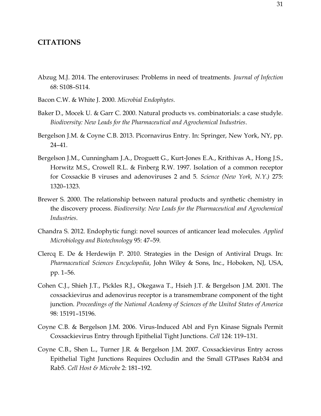## <span id="page-30-0"></span>**CITATIONS**

- Abzug M.J. 2014. The enteroviruses: Problems in need of treatments. *Journal of Infection* 68: S108–S114.
- Bacon C.W. & White J. 2000. *Microbial Endophytes*.
- Baker D., Mocek U. & Garr C. 2000. Natural products vs. combinatorials: a case studyle. *Biodiversity: New Leads for the Pharmaceutical and Agrochemical Industries*.
- Bergelson J.M. & Coyne C.B. 2013. Picornavirus Entry. In: Springer, New York, NY, pp. 24–41.
- Bergelson J.M., Cunningham J.A., Droguett G., Kurt-Jones E.A., Krithivas A., Hong J.S., Horwitz M.S., Crowell R.L. & Finberg R.W. 1997. Isolation of a common receptor for Coxsackie B viruses and adenoviruses 2 and 5. *Science (New York, N.Y.)* 275: 1320–1323.
- Brewer S. 2000. The relationship between natural products and synthetic chemistry in the discovery process. *Biodiversity: New Leads for the Pharmaceutical and Agrochemical Industries*.
- Chandra S. 2012. Endophytic fungi: novel sources of anticancer lead molecules. *Applied Microbiology and Biotechnology* 95: 47–59.
- Clercq E. De & Herdewijn P. 2010. Strategies in the Design of Antiviral Drugs. In: *Pharmaceutical Sciences Encyclopedia*, John Wiley & Sons, Inc., Hoboken, NJ, USA, pp. 1–56.
- Cohen C.J., Shieh J.T., Pickles R.J., Okegawa T., Hsieh J.T. & Bergelson J.M. 2001. The coxsackievirus and adenovirus receptor is a transmembrane component of the tight junction. *Proceedings of the National Academy of Sciences of the United States of America* 98: 15191–15196.
- Coyne C.B. & Bergelson J.M. 2006. Virus-Induced Abl and Fyn Kinase Signals Permit Coxsackievirus Entry through Epithelial Tight Junctions. *Cell* 124: 119–131.
- Coyne C.B., Shen L., Turner J.R. & Bergelson J.M. 2007. Coxsackievirus Entry across Epithelial Tight Junctions Requires Occludin and the Small GTPases Rab34 and Rab5. *Cell Host & Microbe* 2: 181–192.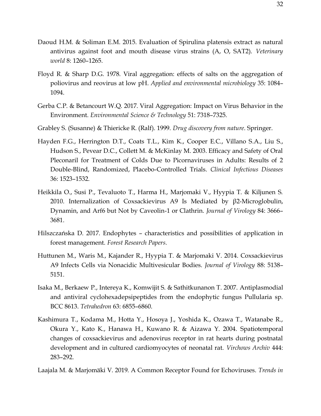- Daoud H.M. & Soliman E.M. 2015. Evaluation of Spirulina platensis extract as natural antivirus against foot and mouth disease virus strains (A, O, SAT2). *Veterinary world* 8: 1260–1265.
- Floyd R. & Sharp D.G. 1978. Viral aggregation: effects of salts on the aggregation of poliovirus and reovirus at low pH. *Applied and environmental microbiology* 35: 1084– 1094.
- Gerba C.P. & Betancourt W.Q. 2017. Viral Aggregation: Impact on Virus Behavior in the Environment. *Environmental Science & Technology* 51: 7318–7325.
- Grabley S. (Susanne) & Thiericke R. (Ralf). 1999. *Drug discovery from nature*. Springer.
- Hayden F.G., Herrington D.T., Coats T.L., Kim K., Cooper E.C., Villano S.A., Liu S., Hudson S., Pevear D.C., Collett M. & McKinlay M. 2003. Efficacy and Safety of Oral Pleconaril for Treatment of Colds Due to Picornaviruses in Adults: Results of 2 Double-Blind, Randomized, Placebo-Controlled Trials. *Clinical Infectious Diseases* 36: 1523–1532.
- Heikkila O., Susi P., Tevaluoto T., Harma H., Marjomaki V., Hyypia T. & Kiljunen S. 2010. Internalization of Coxsackievirus A9 Is Mediated by β2-Microglobulin, Dynamin, and Arf6 but Not by Caveolin-1 or Clathrin. *Journal of Virology* 84: 3666– 3681.
- Hilszczańska D. 2017. Endophytes characteristics and possibilities of application in forest management. *Forest Research Papers*.
- Huttunen M., Waris M., Kajander R., Hyypia T. & Marjomaki V. 2014. Coxsackievirus A9 Infects Cells via Nonacidic Multivesicular Bodies. *Journal of Virology* 88: 5138– 5151.
- Isaka M., Berkaew P., Intereya K., Komwijit S. & Sathitkunanon T. 2007. Antiplasmodial and antiviral cyclohexadepsipeptides from the endophytic fungus Pullularia sp. BCC 8613. *Tetrahedron* 63: 6855–6860.
- Kashimura T., Kodama M., Hotta Y., Hosoya J., Yoshida K., Ozawa T., Watanabe R., Okura Y., Kato K., Hanawa H., Kuwano R. & Aizawa Y. 2004. Spatiotemporal changes of coxsackievirus and adenovirus receptor in rat hearts during postnatal development and in cultured cardiomyocytes of neonatal rat. *Virchows Archiv* 444: 283–292.
- Laajala M. & Marjomäki V. 2019. A Common Receptor Found for Echoviruses. *Trends in*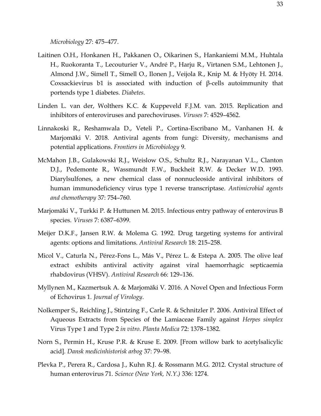*Microbiology* 27: 475–477.

- Laitinen O.H., Honkanen H., Pakkanen O., Oikarinen S., Hankaniemi M.M., Huhtala H., Ruokoranta T., Lecouturier V., André P., Harju R., Virtanen S.M., Lehtonen J., Almond J.W., Simell T., Simell O., Ilonen J., Veijola R., Knip M. & Hyöty H. 2014. Coxsackievirus b1 is associated with induction of β-cells autoimmunity that portends type 1 diabetes. *Diabetes*.
- Linden L. van der, Wolthers K.C. & Kuppeveld F.J.M. van. 2015. Replication and inhibitors of enteroviruses and parechoviruses. *Viruses* 7: 4529–4562.
- Linnakoski R., Reshamwala D., Veteli P., Cortina-Escribano M., Vanhanen H. & Marjomäki V. 2018. Antiviral agents from fungi: Diversity, mechanisms and potential applications. *Frontiers in Microbiology* 9.
- McMahon J.B., Gulakowski R.J., Weislow O.S., Schultz R.J., Narayanan V.L., Clanton D.J., Pedemonte R., Wassmundt F.W., Buckheit R.W. & Decker W.D. 1993. Diarylsulfones, a new chemical class of nonnucleoside antiviral inhibitors of human immunodeficiency virus type 1 reverse transcriptase. *Antimicrobial agents and chemotherapy* 37: 754–760.
- Marjomäki V., Turkki P. & Huttunen M. 2015. Infectious entry pathway of enterovirus B species. *Viruses* 7: 6387–6399.
- Meijer D.K.F., Jansen R.W. & Molema G. 1992. Drug targeting systems for antiviral agents: options and limitations. *Antiviral Research* 18: 215–258.
- Micol V., Caturla N., Pérez-Fons L., Más V., Pérez L. & Estepa A. 2005. The olive leaf extract exhibits antiviral activity against viral haemorrhagic septicaemia rhabdovirus (VHSV). *Antiviral Research* 66: 129–136.
- Myllynen M., Kazmertsuk A. & Marjomäki V. 2016. A Novel Open and Infectious Form of Echovirus 1. *Journal of Virology*.
- Nolkemper S., Reichling J., Stintzing F., Carle R. & Schnitzler P. 2006. Antiviral Effect of Aqueous Extracts from Species of the Lamiaceae Family against *Herpes simplex* Virus Type 1 and Type 2 *in vitro*. *Planta Medica* 72: 1378–1382.
- Norn S., Permin H., Kruse P.R. & Kruse E. 2009. [From willow bark to acetylsalicylic acid]. *Dansk medicinhistorisk arbog* 37: 79–98.
- Plevka P., Perera R., Cardosa J., Kuhn R.J. & Rossmann M.G. 2012. Crystal structure of human enterovirus 71. *Science (New York, N.Y.)* 336: 1274.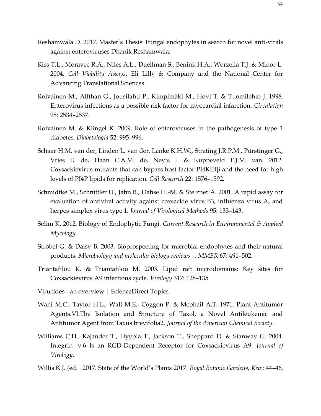- Reshamwala D. 2017. Master's Thesis: Fungal endophytes in search for novel anti-virals against enteroviruses Dhanik Reshamwala.
- Riss T.L., Moravec R.A., Niles A.L., Duellman S., Benink H.A., Worzella T.J. & Minor L. 2004. *Cell Viability Assays*. Eli Lilly & Company and the National Center for Advancing Translational Sciences.
- Roivainen M., Alfthan G., Jousilahti P., Kimpimäki M., Hovi T. & Tuomilehto J. 1998. Enterovirus infections as a possible risk factor for myocardial infarction. *Circulation* 98: 2534–2537.
- Roivainen M. & Klingel K. 2009. Role of enteroviruses in the pathogenesis of type 1 diabetes. *Diabetologia* 52: 995–996.
- Schaar H.M. van der, Linden L. van der, Lanke K.H.W., Strating J.R.P.M., Pürstinger G., Vries E. de, Haan C.A.M. de, Neyts J. & Kuppeveld F.J.M. van. 2012. Coxsackievirus mutants that can bypass host factor PI4KIIIβ and the need for high levels of PI4P lipids for replication. *Cell Research* 22: 1576–1592.
- Schmidtke M., Schnittler U., Jahn B., Dahse H.-M. & Stelzner A. 2001. A rapid assay for evaluation of antiviral activity against coxsackie virus B3, influenza virus A, and herpes simplex virus type 1. *Journal of Virological Methods* 95: 133–143.
- Selim K. 2012. Biology of Endophytic Fungi. *Current Research in Environmental & Applied Mycology*.
- Strobel G. & Daisy B. 2003. Bioprospecting for microbial endophytes and their natural products. *Microbiology and molecular biology reviews : MMBR* 67: 491–502.
- Triantafilou K. & Triantafilou M. 2003. Lipid raft microdomains: Key sites for Coxsackievirus A9 infectious cycle. *Virology* 317: 128–135.
- Virucides an overview | ScienceDirect Topics.
- Wani M.C., Taylor H.L., Wall M.E., Coggon P. & Mcphail A.T. 1971. Plant Antitumor Agents.VI.The Isolation and Structure of Taxol, a Novel Antileukemic and Antitumor Agent from Taxus brevifolia2. *Journal of the American Chemical Society*.
- Williams C.H., Kajander T., Hyypia T., Jackson T., Sheppard D. & Stanway G. 2004. Integrin v 6 Is an RGD-Dependent Receptor for Coxsackievirus A9. *Journal of Virology*.
- Willis K.J. (ed. . 2017. State of the World's Plants 2017. *Royal Botanic Gardens, Kew*: 44–46,